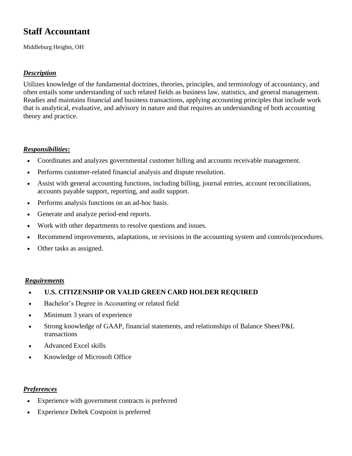# **Staff Accountant**

Middleburg Heights, OH

## *Description*

Utilizes knowledge of the fundamental doctrines, theories, principles, and terminology of accountancy, and often entails some understanding of such related fields as business law, statistics, and general management. Readies and maintains financial and business transactions, applying accounting principles that include work that is analytical, evaluative, and advisory in nature and that requires an understanding of both accounting theory and practice.

## *Responsibilities***:**

- Coordinates and analyzes governmental customer billing and accounts receivable management.
- Performs customer-related financial analysis and dispute resolution.
- Assist with general accounting functions, including billing, journal entries, account reconciliations, accounts payable support, reporting, and audit support.
- Performs analysis functions on an ad-hoc basis.
- Generate and analyze period-end reports.
- Work with other departments to resolve questions and issues.
- Recommend improvements, adaptations, or revisions in the accounting system and controls/procedures.
- Other tasks as assigned.

## *Requirements*

- **U.S. CITIZENSHIP OR VALID GREEN CARD HOLDER REQUIRED**
- Bachelor's Degree in Accounting or related field
- Minimum 3 years of experience
- Strong knowledge of GAAP, financial statements, and relationships of Balance Sheet/P&L transactions
- Advanced Excel skills
- Knowledge of Microsoft Office

#### *Preferences*

- Experience with government contracts is preferred
- Experience Deltek Costpoint is preferred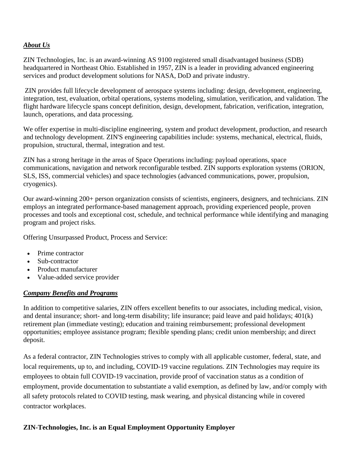### *About Us*

ZIN Technologies, Inc. is an award-winning AS 9100 registered small disadvantaged business (SDB) headquartered in Northeast Ohio. Established in 1957, ZIN is a leader in providing advanced engineering services and product development solutions for NASA, DoD and private industry.

ZIN provides full lifecycle development of aerospace systems including: design, development, engineering, integration, test, evaluation, orbital operations, systems modeling, simulation, verification, and validation. The flight hardware lifecycle spans concept definition, design, development, fabrication, verification, integration, launch, operations, and data processing.

We offer expertise in multi-discipline engineering, system and product development, production, and research and technology development. ZIN'S engineering capabilities include: systems, mechanical, electrical, fluids, propulsion, structural, thermal, integration and test.

ZIN has a strong heritage in the areas of Space Operations including: payload operations, space communications, navigation and network reconfigurable testbed. ZIN supports exploration systems (ORION, SLS, ISS, commercial vehicles) and space technologies (advanced communications, power, propulsion, cryogenics).

Our award-winning 200+ person organization consists of scientists, engineers, designers, and technicians. ZIN employs an integrated performance-based management approach, providing experienced people, proven processes and tools and exceptional cost, schedule, and technical performance while identifying and managing program and project risks.

Offering Unsurpassed Product, Process and Service:

- Prime contractor
- Sub-contractor
- Product manufacturer
- Value-added service provider

## *Company Benefits and Programs*

In addition to competitive salaries, ZIN offers excellent benefits to our associates, including medical, vision, and dental insurance; short- and long-term disability; life insurance; paid leave and paid holidays; 401(k) retirement plan (immediate vesting); education and training reimbursement; professional development opportunities; employee assistance program; flexible spending plans; credit union membership; and direct deposit.

As a federal contractor, ZIN Technologies strives to comply with all applicable customer, federal, state, and local requirements, up to, and including, COVID-19 vaccine regulations. ZIN Technologies may require its employees to obtain full COVID-19 vaccination, provide proof of vaccination status as a condition of employment, provide documentation to substantiate a valid exemption, as defined by law, and/or comply with all safety protocols related to COVID testing, mask wearing, and physical distancing while in covered contractor workplaces.

## **ZIN-Technologies, Inc. is an Equal Employment Opportunity Employer**